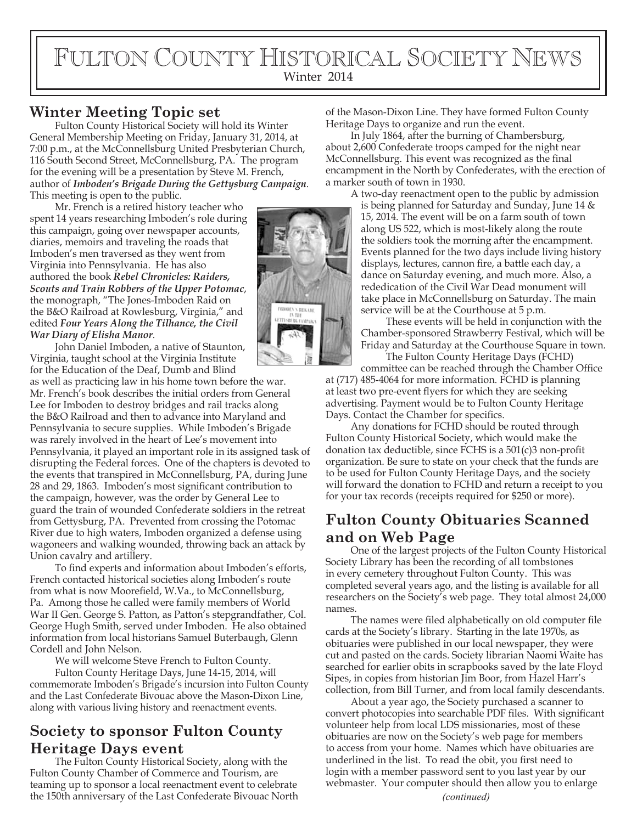# FULTON COUNTY HISTORICAL SOCIETY NEWS Winter 2014

#### **Winter Meeting Topic set**

Fulton County Historical Society will hold its Winter General Membership Meeting on Friday, January 31, 2014, at 7:00 p.m., at the McConnellsburg United Presbyterian Church, 116 South Second Street, McConnellsburg, PA. The program for the evening will be a presentation by Steve M. French, author of *Imboden's Brigade During the Gettysburg Campaign*. This meeting is open to the public.

Mr. French is a retired history teacher who spent 14 years researching Imboden's role during this campaign, going over newspaper accounts, diaries, memoirs and traveling the roads that Imboden's men traversed as they went from Virginia into Pennsylvania. He has also authored the book *Rebel Chronicles: Raiders, Scouts and Train Robbers of the Upper Potomac*, the monograph, "The Jones-Imboden Raid on the B&O Railroad at Rowlesburg, Virginia," and edited *Four Years Along the Tilhance, the Civil War Diary of Elisha Manor*.

John Daniel Imboden, a native of Staunton, Virginia, taught school at the Virginia Institute for the Education of the Deaf, Dumb and Blind

as well as practicing law in his home town before the war. Mr. French's book describes the initial orders from General Lee for Imboden to destroy bridges and rail tracks along the B&O Railroad and then to advance into Maryland and Pennsylvania to secure supplies. While Imboden's Brigade was rarely involved in the heart of Lee's movement into Pennsylvania, it played an important role in its assigned task of disrupting the Federal forces. One of the chapters is devoted to the events that transpired in McConnellsburg, PA, during June 28 and 29, 1863. Imboden's most signicant contribution to the campaign, however, was the order by General Lee to guard the train of wounded Confederate soldiers in the retreat from Gettysburg, PA. Prevented from crossing the Potomac River due to high waters, Imboden organized a defense using wagoneers and walking wounded, throwing back an attack by Union cavalry and artillery.

To find experts and information about Imboden's efforts, French contacted historical societies along Imboden's route from what is now Moorefield, W.Va., to McConnellsburg, Pa. Among those he called were family members of World War II Gen. George S. Patton, as Patton's stepgrandfather, Col. George Hugh Smith, served under Imboden. He also obtained information from local historians Samuel Buterbaugh, Glenn Cordell and John Nelson.

We will welcome Steve French to Fulton County.

Fulton County Heritage Days, June 14-15, 2014, will commemorate Imboden's Brigade's incursion into Fulton County and the Last Confederate Bivouac above the Mason-Dixon Line, along with various living history and reenactment events.

### **Society to sponsor Fulton County Heritage Days event**

The Fulton County Historical Society, along with the Fulton County Chamber of Commerce and Tourism, are teaming up to sponsor a local reenactment event to celebrate the 150th anniversary of the Last Confederate Bivouac North *(continued)*

of the Mason-Dixon Line. They have formed Fulton County Heritage Days to organize and run the event.

In July 1864, after the burning of Chambersburg, about 2,600 Confederate troops camped for the night near McConnellsburg. This event was recognized as the final encampment in the North by Confederates, with the erection of a marker south of town in 1930.

A two-day reenactment open to the public by admission is being planned for Saturday and Sunday, June 14 & 15, 2014. The event will be on a farm south of town along US 522, which is most-likely along the route the soldiers took the morning after the encampment. Events planned for the two days include living history displays, lectures, cannon fire, a battle each day, a dance on Saturday evening, and much more. Also, a rededication of the Civil War Dead monument will take place in McConnellsburg on Saturday. The main service will be at the Courthouse at 5 p.m.

These events will be held in conjunction with the Chamber-sponsored Strawberry Festival, which will be Friday and Saturday at the Courthouse Square in town.

The Fulton County Heritage Days (FCHD) committee can be reached through the Chamber Office at (717) 485-4064 for more information. FCHD is planning at least two pre-event flyers for which they are seeking advertising. Payment would be to Fulton County Heritage Days. Contact the Chamber for specifics.

Any donations for FCHD should be routed through Fulton County Historical Society, which would make the donation tax deductible, since FCHS is a  $501(c)3$  non-profit organization. Be sure to state on your check that the funds are to be used for Fulton County Heritage Days, and the society will forward the donation to FCHD and return a receipt to you for your tax records (receipts required for \$250 or more).

## **Fulton County Obituaries Scanned and on Web Page**

One of the largest projects of the Fulton County Historical Society Library has been the recording of all tombstones in every cemetery throughout Fulton County. This was completed several years ago, and the listing is available for all researchers on the Society's web page. They total almost 24,000 names.

The names were filed alphabetically on old computer file cards at the Society's library. Starting in the late 1970s, as obituaries were published in our local newspaper, they were cut and pasted on the cards. Society librarian Naomi Waite has searched for earlier obits in scrapbooks saved by the late Floyd Sipes, in copies from historian Jim Boor, from Hazel Harr's collection, from Bill Turner, and from local family descendants.

About a year ago, the Society purchased a scanner to convert photocopies into searchable PDF files. With significant volunteer help from local LDS missionaries, most of these obituaries are now on the Society's web page for members to access from your home. Names which have obituaries are underlined in the list. To read the obit, you first need to login with a member password sent to you last year by our webmaster. Your computer should then allow you to enlarge